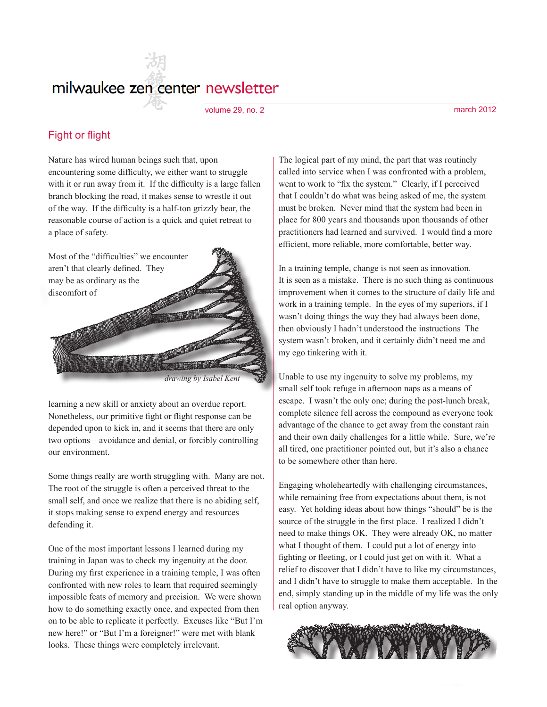# milwaukee zen center newsletter

volume 29, no. 2 march 2012

## Fight or flight

Nature has wired human beings such that, upon encountering some difficulty, we either want to struggle with it or run away from it. If the difficulty is a large fallen branch blocking the road, it makes sense to wrestle it out of the way. If the difficulty is a half-ton grizzly bear, the reasonable course of action is a quick and quiet retreat to a place of safety.



*drawing by Isabel Kent*

learning a new skill or anxiety about an overdue report. Nonetheless, our primitive fight or flight response can be depended upon to kick in, and it seems that there are only two options—avoidance and denial, or forcibly controlling our environment.

Some things really are worth struggling with. Many are not. The root of the struggle is often a perceived threat to the small self, and once we realize that there is no abiding self, it stops making sense to expend energy and resources defending it.

One of the most important lessons I learned during my training in Japan was to check my ingenuity at the door. During my first experience in a training temple, I was often confronted with new roles to learn that required seemingly impossible feats of memory and precision. We were shown how to do something exactly once, and expected from then on to be able to replicate it perfectly. Excuses like "But I'm new here!" or "But I'm a foreigner!" were met with blank looks. These things were completely irrelevant.

The logical part of my mind, the part that was routinely called into service when I was confronted with a problem, went to work to "fix the system." Clearly, if I perceived that I couldn't do what was being asked of me, the system must be broken. Never mind that the system had been in place for 800 years and thousands upon thousands of other practitioners had learned and survived. I would find a more efficient, more reliable, more comfortable, better way.

In a training temple, change is not seen as innovation. It is seen as a mistake. There is no such thing as continuous improvement when it comes to the structure of daily life and work in a training temple. In the eyes of my superiors, if I wasn't doing things the way they had always been done, then obviously I hadn't understood the instructions The system wasn't broken, and it certainly didn't need me and my ego tinkering with it.

Unable to use my ingenuity to solve my problems, my small self took refuge in afternoon naps as a means of escape. I wasn't the only one; during the post-lunch break, complete silence fell across the compound as everyone took advantage of the chance to get away from the constant rain and their own daily challenges for a little while. Sure, we're all tired, one practitioner pointed out, but it's also a chance to be somewhere other than here.

Engaging wholeheartedly with challenging circumstances, while remaining free from expectations about them, is not easy. Yet holding ideas about how things "should" be is the source of the struggle in the first place. I realized I didn't need to make things OK. They were already OK, no matter what I thought of them. I could put a lot of energy into fighting or fleeting, or I could just get on with it. What a relief to discover that I didn't have to like my circumstances, and I didn't have to struggle to make them acceptable. In the end, simply standing up in the middle of my life was the only real option anyway.

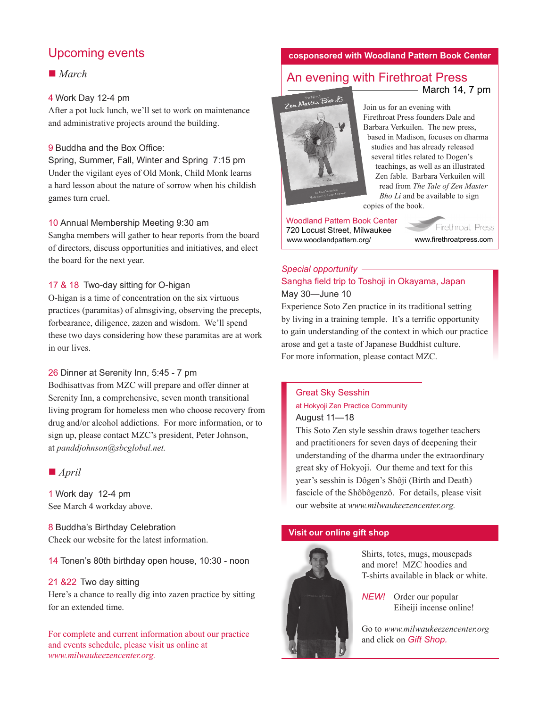# Upcoming events

# ■ *March*

## 4 Work Day 12-4 pm

After a pot luck lunch, we'll set to work on maintenance and administrative projects around the building.

#### 9 Buddha and the Box Office:

Spring, Summer, Fall, Winter and Spring 7:15 pm Under the vigilant eyes of Old Monk, Child Monk learns a hard lesson about the nature of sorrow when his childish games turn cruel.

#### 10 Annual Membership Meeting 9:30 am

Sangha members will gather to hear reports from the board of directors, discuss opportunities and initiatives, and elect the board for the next year.

#### 17 & 18 Two-day sitting for O-higan

O-higan is a time of concentration on the six virtuous practices (paramitas) of almsgiving, observing the precepts, forbearance, diligence, zazen and wisdom. We'll spend these two days considering how these paramitas are at work in our lives.

#### 26 Dinner at Serenity Inn, 5:45 - 7 pm

Bodhisattvas from MZC will prepare and offer dinner at Serenity Inn, a comprehensive, seven month transitional living program for homeless men who choose recovery from drug and/or alcohol addictions. For more information, or to sign up, please contact MZC's president, Peter Johnson, at *panddjohnson@sbcglobal.net.*

#### ■ *April*

1 Work day 12-4 pm See March 4 workday above.

8 Buddha's Birthday Celebration Check our website for the latest information.

14 Tonen's 80th birthday open house, 10:30 - noon

#### 21 &22 Two day sitting

Here's a chance to really dig into zazen practice by sitting for an extended time.

For complete and current information about our practice and events schedule, please visit us online at *www.milwaukeezencenter.org.*

#### **cosponsored with Woodland Pattern Book Center**

## An evening with Firethroat Press  $-March$  14, 7 pm



Join us for an evening with Firethroat Press founders Dale and Barbara Verkuilen. The new press, based in Madison, focuses on dharma studies and has already released several titles related to Dogen's teachings, as well as an illustrated Zen fable. Barbara Verkuilen will read from *The Tale of Zen Master Bho Li* and be available to sign copies of the book.

Woodland Pattern Book Center 720 Locust Street, Milwaukee www.woodlandpattern.org/ www.firethroatpress.com

Firethroat Press

### *Special opportunity* Sangha field trip to Toshoji in Okayama, Japan May 30—June 10

Experience Soto Zen practice in its traditional setting by living in a training temple. It's a terrific opportunity to gain understanding of the context in which our practice arose and get a taste of Japanese Buddhist culture. For more information, please contact MZC.

## Great Sky Sesshin at Hokyoji Zen Practice Community August 11—18

This Soto Zen style sesshin draws together teachers and practitioners for seven days of deepening their understanding of the dharma under the extraordinary great sky of Hokyoji. Our theme and text for this year's sesshin is Dôgen's Shôji (Birth and Death) fascicle of the Shôbôgenzô. For details, please visit our website at *www.milwaukeezencenter.org.*

#### **Visit our online gift shop**



Shirts, totes, mugs, mousepads and more! MZC hoodies and T-shirts available in black or white.

*NEW!* Order our popular Eiheiji incense online!

Go to *www.milwaukeezencenter.org* and click on *Gift Shop.*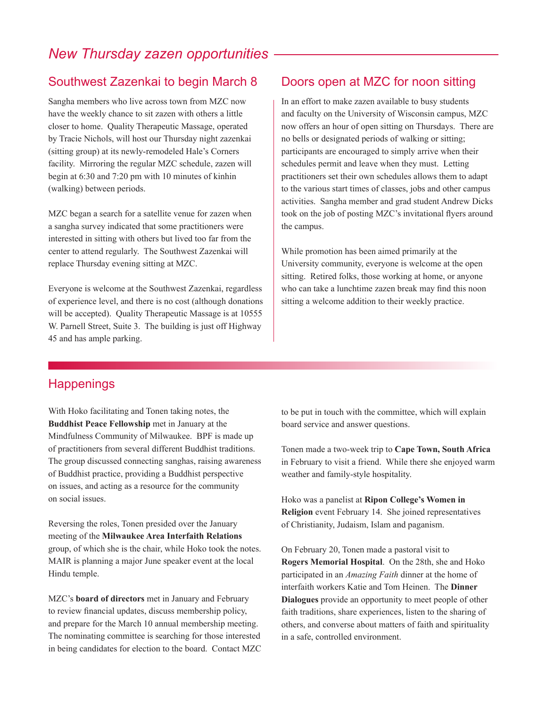# *New Thursday zazen opportunities*

# Southwest Zazenkai to begin March 8

Sangha members who live across town from MZC now have the weekly chance to sit zazen with others a little closer to home. Quality Therapeutic Massage, operated by Tracie Nichols, will host our Thursday night zazenkai (sitting group) at its newly-remodeled Hale's Corners facility. Mirroring the regular MZC schedule, zazen will begin at 6:30 and 7:20 pm with 10 minutes of kinhin (walking) between periods.

MZC began a search for a satellite venue for zazen when a sangha survey indicated that some practitioners were interested in sitting with others but lived too far from the center to attend regularly. The Southwest Zazenkai will replace Thursday evening sitting at MZC.

Everyone is welcome at the Southwest Zazenkai, regardless of experience level, and there is no cost (although donations will be accepted). Quality Therapeutic Massage is at 10555 W. Parnell Street, Suite 3. The building is just off Highway 45 and has ample parking.

# Doors open at MZC for noon sitting

In an effort to make zazen available to busy students and faculty on the University of Wisconsin campus, MZC now offers an hour of open sitting on Thursdays. There are no bells or designated periods of walking or sitting; participants are encouraged to simply arrive when their schedules permit and leave when they must. Letting practitioners set their own schedules allows them to adapt to the various start times of classes, jobs and other campus activities. Sangha member and grad student Andrew Dicks took on the job of posting MZC's invitational flyers around the campus.

While promotion has been aimed primarily at the University community, everyone is welcome at the open sitting. Retired folks, those working at home, or anyone who can take a lunchtime zazen break may find this noon sitting a welcome addition to their weekly practice.

# **Happenings**

With Hoko facilitating and Tonen taking notes, the **Buddhist Peace Fellowship** met in January at the Mindfulness Community of Milwaukee. BPF is made up of practitioners from several different Buddhist traditions. The group discussed connecting sanghas, raising awareness of Buddhist practice, providing a Buddhist perspective on issues, and acting as a resource for the community on social issues.

Reversing the roles, Tonen presided over the January meeting of the **Milwaukee Area Interfaith Relations** group, of which she is the chair, while Hoko took the notes. MAIR is planning a major June speaker event at the local Hindu temple.

MZC's **board of directors** met in January and February to review financial updates, discuss membership policy, and prepare for the March 10 annual membership meeting. The nominating committee is searching for those interested in being candidates for election to the board. Contact MZC to be put in touch with the committee, which will explain board service and answer questions.

Tonen made a two-week trip to **Cape Town, South Africa** in February to visit a friend. While there she enjoyed warm weather and family-style hospitality.

Hoko was a panelist at **Ripon College's Women in Religion** event February 14. She joined representatives of Christianity, Judaism, Islam and paganism.

On February 20, Tonen made a pastoral visit to **Rogers Memorial Hospital**. On the 28th, she and Hoko participated in an *Amazing Faith* dinner at the home of interfaith workers Katie and Tom Heinen. The **Dinner Dialogues** provide an opportunity to meet people of other faith traditions, share experiences, listen to the sharing of others, and converse about matters of faith and spirituality in a safe, controlled environment.